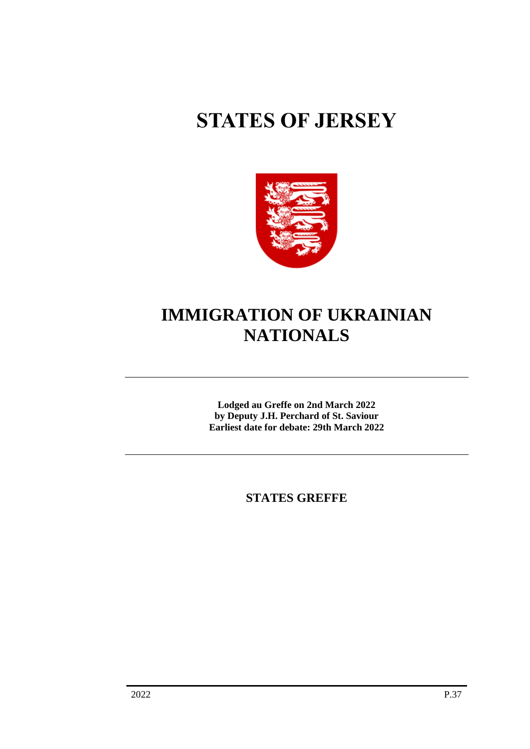# **STATES OF JERSEY**



## **IMMIGRATION OF UKRAINIAN NATIONALS**

**Lodged au Greffe on 2nd March 2022 by Deputy J.H. Perchard of St. Saviour Earliest date for debate: 29th March 2022**

**STATES GREFFE**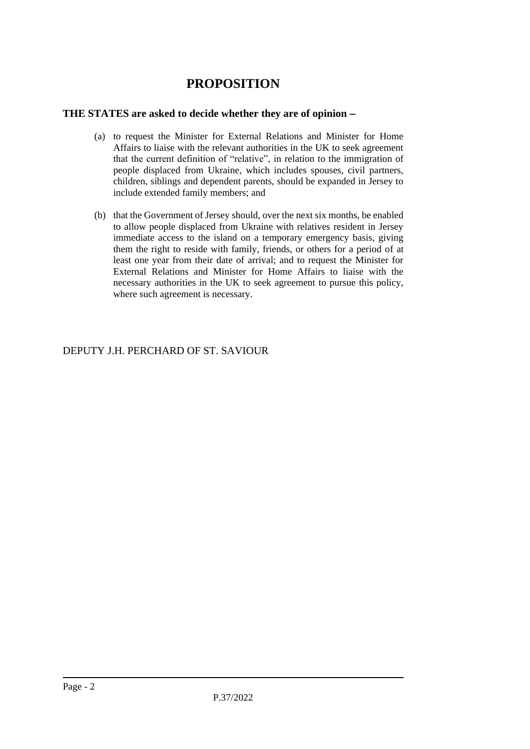### **PROPOSITION**

#### **THE STATES are asked to decide whether they are of opinion** −

- (a) to request the Minister for External Relations and Minister for Home Affairs to liaise with the relevant authorities in the UK to seek agreement that the current definition of "relative", in relation to the immigration of people displaced from Ukraine, which includes spouses, civil partners, children, siblings and dependent parents, should be expanded in Jersey to include extended family members; and
- (b) that the Government of Jersey should, over the next six months, be enabled to allow people displaced from Ukraine with relatives resident in Jersey immediate access to the island on a temporary emergency basis, giving them the right to reside with family, friends, or others for a period of at least one year from their date of arrival; and to request the Minister for External Relations and Minister for Home Affairs to liaise with the necessary authorities in the UK to seek agreement to pursue this policy, where such agreement is necessary.

DEPUTY J.H. PERCHARD OF ST. SAVIOUR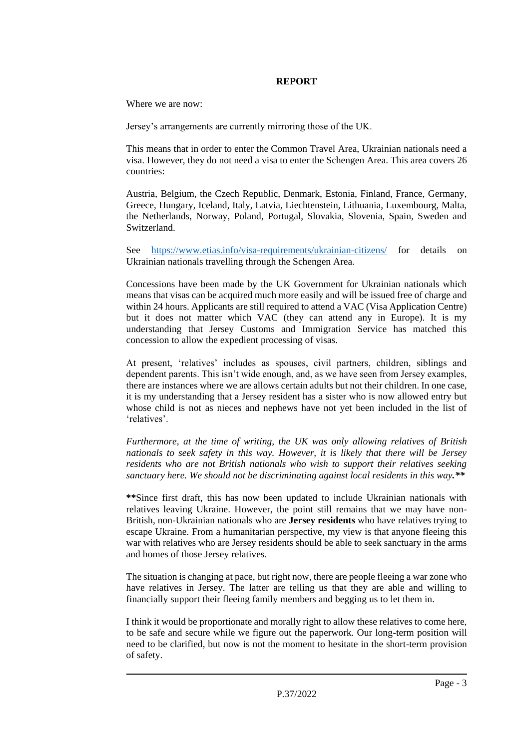#### **REPORT**

Where we are now:

Jersey's arrangements are currently mirroring those of the UK.

This means that in order to enter the Common Travel Area, Ukrainian nationals need a visa. However, they do not need a visa to enter the Schengen Area. This area covers 26 countries:

Austria, Belgium, the Czech Republic, Denmark, Estonia, Finland, France, Germany, Greece, Hungary, Iceland, Italy, Latvia, Liechtenstein, Lithuania, Luxembourg, Malta, the Netherlands, Norway, Poland, Portugal, Slovakia, Slovenia, Spain, Sweden and Switzerland.

See <https://www.etias.info/visa-requirements/ukrainian-citizens/> for details on Ukrainian nationals travelling through the Schengen Area.

Concessions have been made by the UK Government for Ukrainian nationals which means that visas can be acquired much more easily and will be issued free of charge and within 24 hours. Applicants are still required to attend a VAC (Visa Application Centre) but it does not matter which VAC (they can attend any in Europe). It is my understanding that Jersey Customs and Immigration Service has matched this concession to allow the expedient processing of visas.

At present, 'relatives' includes as spouses, civil partners, children, siblings and dependent parents. This isn't wide enough, and, as we have seen from Jersey examples, there are instances where we are allows certain adults but not their children. In one case, it is my understanding that a Jersey resident has a sister who is now allowed entry but whose child is not as nieces and nephews have not yet been included in the list of 'relatives'.

*Furthermore, at the time of writing, the UK was only allowing relatives of British nationals to seek safety in this way. However, it is likely that there will be Jersey residents who are not British nationals who wish to support their relatives seeking sanctuary here. We should not be discriminating against local residents in this way.\*\**

**\*\***Since first draft, this has now been updated to include Ukrainian nationals with relatives leaving Ukraine. However, the point still remains that we may have non-British, non-Ukrainian nationals who are **Jersey residents** who have relatives trying to escape Ukraine. From a humanitarian perspective, my view is that anyone fleeing this war with relatives who are Jersey residents should be able to seek sanctuary in the arms and homes of those Jersey relatives.

The situation is changing at pace, but right now, there are people fleeing a war zone who have relatives in Jersey. The latter are telling us that they are able and willing to financially support their fleeing family members and begging us to let them in.

I think it would be proportionate and morally right to allow these relatives to come here, to be safe and secure while we figure out the paperwork. Our long-term position will need to be clarified, but now is not the moment to hesitate in the short-term provision of safety.